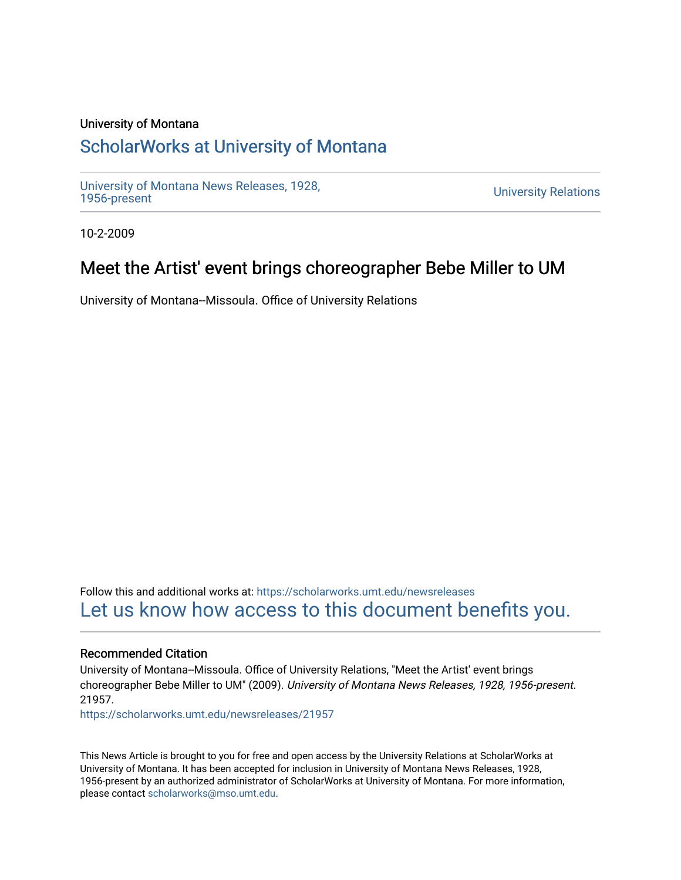### University of Montana

# [ScholarWorks at University of Montana](https://scholarworks.umt.edu/)

[University of Montana News Releases, 1928,](https://scholarworks.umt.edu/newsreleases) 

**University Relations** 

10-2-2009

## Meet the Artist' event brings choreographer Bebe Miller to UM

University of Montana--Missoula. Office of University Relations

Follow this and additional works at: [https://scholarworks.umt.edu/newsreleases](https://scholarworks.umt.edu/newsreleases?utm_source=scholarworks.umt.edu%2Fnewsreleases%2F21957&utm_medium=PDF&utm_campaign=PDFCoverPages) [Let us know how access to this document benefits you.](https://goo.gl/forms/s2rGfXOLzz71qgsB2) 

#### Recommended Citation

University of Montana--Missoula. Office of University Relations, "Meet the Artist' event brings choreographer Bebe Miller to UM" (2009). University of Montana News Releases, 1928, 1956-present. 21957.

[https://scholarworks.umt.edu/newsreleases/21957](https://scholarworks.umt.edu/newsreleases/21957?utm_source=scholarworks.umt.edu%2Fnewsreleases%2F21957&utm_medium=PDF&utm_campaign=PDFCoverPages) 

This News Article is brought to you for free and open access by the University Relations at ScholarWorks at University of Montana. It has been accepted for inclusion in University of Montana News Releases, 1928, 1956-present by an authorized administrator of ScholarWorks at University of Montana. For more information, please contact [scholarworks@mso.umt.edu.](mailto:scholarworks@mso.umt.edu)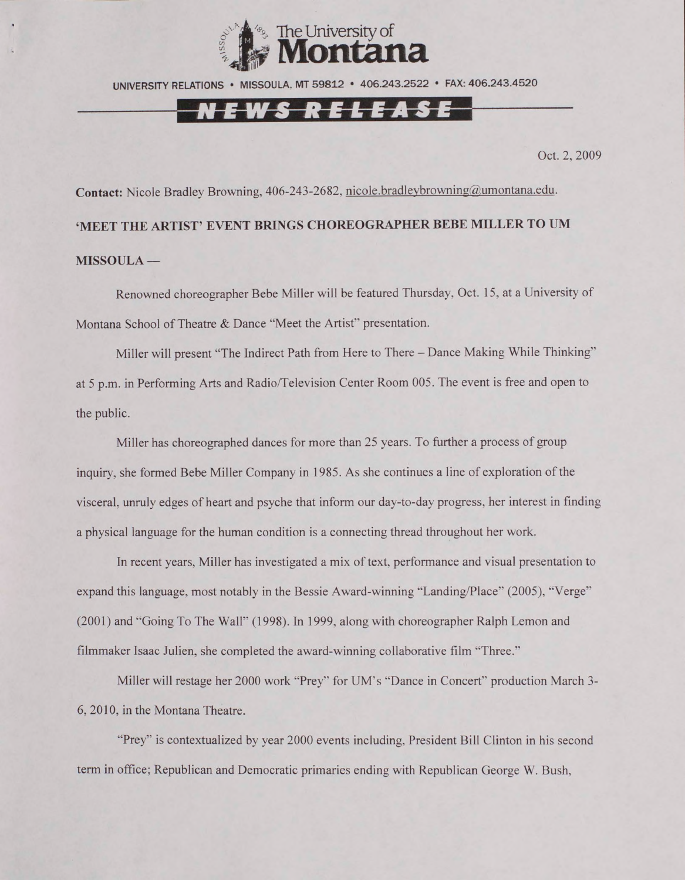

UNIVERSITY RELATIONS • MISSOULA. MT 59812 • 406.243.2522 • FAX: 406.243.4520

### N E W S R E L E A S E

Oct. 2, 2009

Contact: Nicole Bradley Browning, 406-243-2682, nicole.bradleybrowning@umontana.edu. **'MEET THE ARTIST' EVENT BRINGS CHOREOGRAPHER BEBE MILLER TO UM MISSOULA —**

Renowned choreographer Bebe Miller will be featured Thursday. Oct. 15, at a University of Montana School of Theatre & Dance "Meet the Artist" presentation.

Miller will present "The Indirect Path from Here to There - Dance Making While Thinking" at 5 p.m. in Performing Arts and Radio/Television Center Room 005. The event is free and open to the public.

Miller has choreographed dances for more than 25 years. To further a process of group inquiry, she formed Bebe Miller Company in 1985. As she continues a line of exploration of the visceral, unruly edges of heart and psyche that inform our day-to-day progress, her interest in finding a physical language for the human condition is a connecting thread throughout her work.

In recent years. Miller has investigated a mix of text, performance and visual presentation to expand this language, most notably in the Bessie Award-winning "Landing/Place" (2005), "Verge" (2001) and "Going To The Wall" (1998). In 1999, along with choreographer Ralph Lemon and filmmaker Isaac Julien, she completed the award-winning collaborative film "Three."

Miller will restage her 2000 work "Prey" for UM's "Dance in Concert" production March 3- 6, 2010, in the Montana Theatre.

"Prey" is contextualized by year 2000 events including. President Bill Clinton in his second term in office; Republican and Democratic primaries ending with Republican George W. Bush.